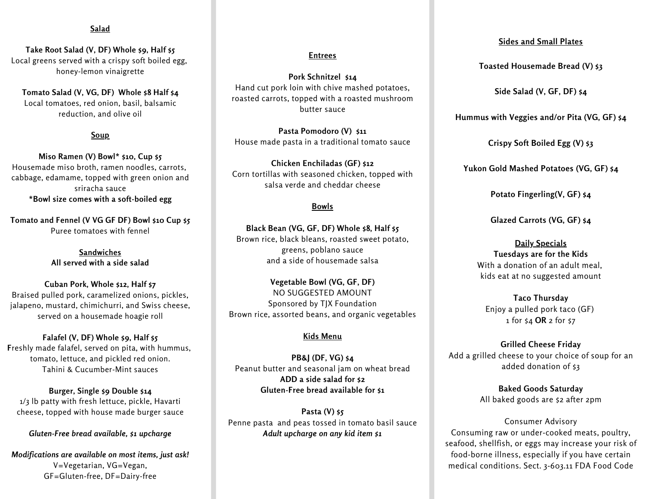#### **Salad**

**Take Root Salad (V, DF) Whole \$9, Half \$5** Local greens served with a crispy soft boiled egg, honey-lemon vinaigrette

**Tomato Salad (V, VG, DF) Whole \$8 Half \$4** Local tomatoes, red onion, basil, balsamic reduction, and olive oil

#### **Soup**

**Miso Ramen (V) Bowl\* \$10, Cup \$5** Housemade miso broth, ramen noodles, carrots, cabbage, edamame, topped with green onion and sriracha sauce **\*Bowl size comes with a soft-boiled egg**

**Tomato and Fennel (V VG GF DF) Bowl \$10 Cup \$5** Puree tomatoes with fennel

> **Sandwiches All served with a side salad**

**Cuban Pork, Whole \$12, Half \$7** Braised pulled pork, caramelized onions, pickles, jalapeno, mustard, chimichurri, and Swiss cheese, served on a housemade hoagie roll

**Falafel (V, DF) Whole \$9, Half \$5 F**reshly made falafel, served on pita, with hummus, tomato, lettuce, and pickled red onion. Tahini & Cucumber-Mint sauces

**Burger, Single \$9 Double \$14** 1/3 lb patty with fresh lettuce, pickle, Havarti cheese, topped with house made burger sauce

*Gluten-Free bread available, \$1 upcharge*

*Modifications are available on most items, just ask!* V=Vegetarian, VG=Vegan, GF=Gluten-free, DF=Dairy-free

#### **Entrees**

**Pork Schnitzel \$14** Hand cut pork loin with chive mashed potatoes, roasted carrots, topped with a roasted mushroom butter sauce

**Pasta Pomodoro (V) \$11** House made pasta in a traditional tomato sauce

**Chicken Enchiladas (GF) \$12** Corn tortillas with seasoned chicken, topped with salsa verde and cheddar cheese

#### **Bowls**

**Black Bean (VG, GF, DF) Whole \$8, Half \$5** Brown rice, black bleans, roasted sweet potato, greens, poblano sauce and a side of housemade salsa

**Vegetable Bowl (VG, GF, DF)** NO SUGGESTED AMOUNT Sponsored by TJX Foundation Brown rice, assorted beans, and organic vegetables

#### **Kids Menu**

**PB&J (DF, VG) \$4** Peanut butter and seasonal jam on wheat bread **ADD a side salad for \$2 Gluten-Free bread available for \$1**

**Pasta** (V) \$5 (123) 456 7890 *Adult upcharge on any kid item \$1* Penne pasta and peas tossed in tomato basil sauce

## **Sides and Small Plates**

**Toasted Housemade Bread (V) \$3**

**Side Salad (V, GF, DF) \$4**

**Hummus with Veggies and/or Pita (VG, GF) \$4**

**Crispy Soft Boiled Egg (V) \$3**

**Yukon Gold Mashed Potatoes (VG, GF) \$4**

**Potato Fingerling(V, GF) \$4**

**Glazed Carrots (VG, GF) \$4**

**Daily Specials Tuesdays are for the Kids** With a donation of an adult meal, kids eat at no suggested amount

**Taco Thursday** Enjoy a pulled pork taco (GF) 1 for \$4 **OR** 2 for \$7

**Grilled Cheese Friday** Add a grilled cheese to your choice of soup for an added donation of \$3

> **Baked Goods Saturday** All baked goods are \$2 after 2pm

Consumer Advisory Consuming raw or under-cooked meats, poultry, seafood, shellfish, or eggs may increase your risk of food-borne illness, especially if you have certain medical conditions. Sect. 3-603.11 FDA Food Code